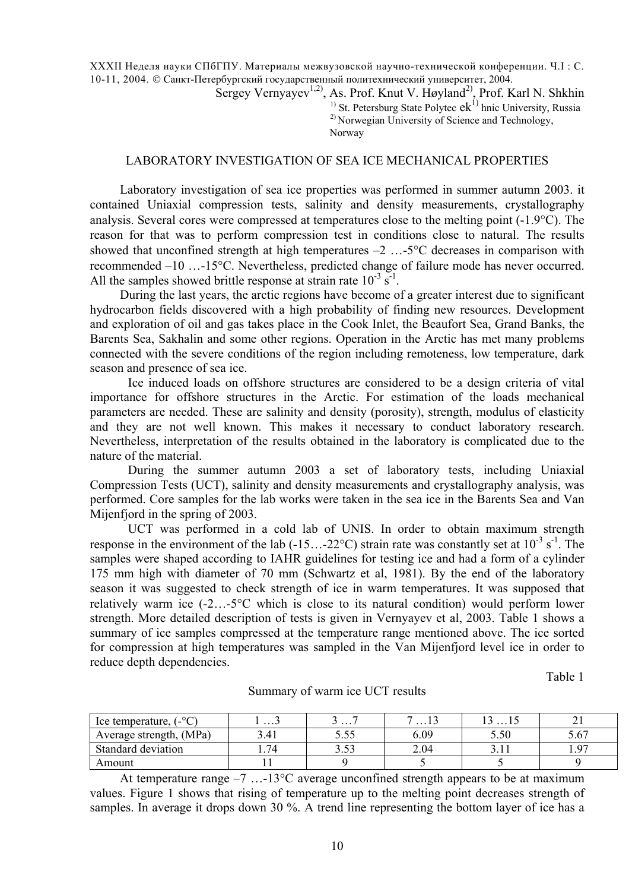XXXII Неделя науки СПбГПУ. Материалы межвузовской научно-технической конференции. Ч.I : С. 10-11, 2004. © Санкт-Петербургский государственный политехнический университет, 2004.

Sergey Vernyayev<sup>1,2)</sup>, As. Prof. Knut V. Høyland<sup>2)</sup>, Prof. Karl N. Shkhin <sup>1)</sup> St. Petersburg State Polytec  $ek^{1}$  hnic University, Russia 2) Norwegian University of Science and Technology, Norway

## LABORATORY INVESTIGATION OF SEA ICE MECHANICAL PROPERTIES

Laboratory investigation of sea ice properties was performed in summer autumn 2003. it contained Uniaxial compression tests, salinity and density measurements, crystallography analysis. Several cores were compressed at temperatures close to the melting point (-1.9°C). The reason for that was to perform compression test in conditions close to natural. The results showed that unconfined strength at high temperatures  $-2$  ...-5<sup>o</sup>C decreases in comparison with recommended –10 …-15°C. Nevertheless, predicted change of failure mode has never occurred. All the samples showed brittle response at strain rate  $10^{-3}$  s<sup>-1</sup>.

During the last years, the arctic regions have become of a greater interest due to significant hydrocarbon fields discovered with a high probability of finding new resources. Development and exploration of oil and gas takes place in the Cook Inlet, the Beaufort Sea, Grand Banks, the Barents Sea, Sakhalin and some other regions. Operation in the Arctic has met many problems connected with the severe conditions of the region including remoteness, low temperature, dark season and presence of sea ice.

Ice induced loads on offshore structures are considered to be a design criteria of vital importance for offshore structures in the Arctic. For estimation of the loads mechanical parameters are needed. These are salinity and density (porosity), strength, modulus of elasticity and they are not well known. This makes it necessary to conduct laboratory research. Nevertheless, interpretation of the results obtained in the laboratory is complicated due to the nature of the material.

During the summer autumn 2003 a set of laboratory tests, including Uniaxial Compression Tests (UCT), salinity and density measurements and crystallography analysis, was performed. Core samples for the lab works were taken in the sea ice in the Barents Sea and Van Mijenfjord in the spring of 2003.

UCT was performed in a cold lab of UNIS. In order to obtain maximum strength response in the environment of the lab (-15...-22 $^{\circ}$ C) strain rate was constantly set at 10<sup>-3</sup> s<sup>-1</sup>. The samples were shaped according to IAHR guidelines for testing ice and had a form of a cylinder 175 mm high with diameter of 70 mm (Schwartz et al, 1981). By the end of the laboratory season it was suggested to check strength of ice in warm temperatures. It was supposed that relatively warm ice (-2…-5°C which is close to its natural condition) would perform lower strength. More detailed description of tests is given in Vernyayev et al, 2003. Table 1 shows a summary of ice samples compressed at the temperature range mentioned above. The ice sorted for compression at high temperatures was sampled in the Van Mijenfjord level ice in order to reduce depth dependencies.

Table 1

| $C^{\circ}C^{\circ}$<br>lce temperature, | .    | .<br>ັ          | .    | .    |            |
|------------------------------------------|------|-----------------|------|------|------------|
| Average strength, (MPa)                  | 3.41 | くぐ<br><u> J</u> | 6.09 | 5.50 | $\sqrt{2}$ |
| Standard deviation                       | 74   | 5.52<br>        | 2.04 |      | 07         |
| Amount                                   |      |                 |      |      |            |

Summary of warm ice UCT results

At temperature range  $-7$  ...-13<sup>o</sup>C average unconfined strength appears to be at maximum values. Figure 1 shows that rising of temperature up to the melting point decreases strength of samples. In average it drops down 30 %. A trend line representing the bottom layer of ice has a